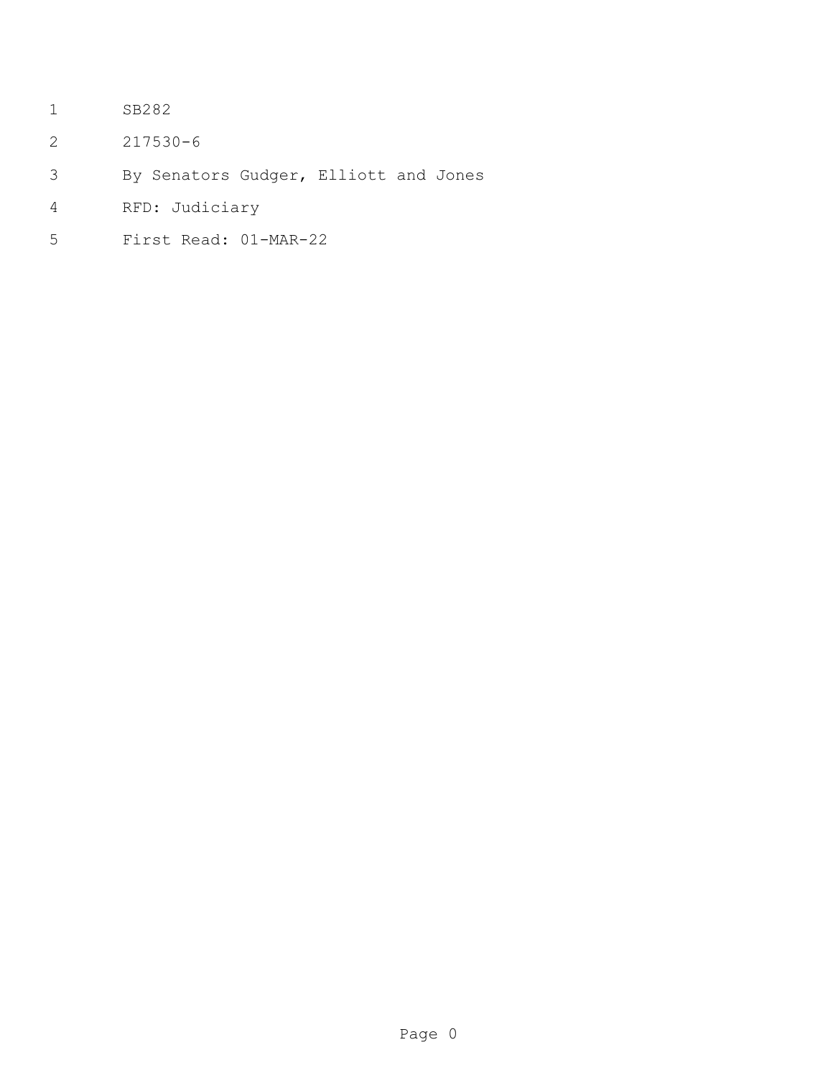- SB282
- 217530-6
- By Senators Gudger, Elliott and Jones
- RFD: Judiciary
- First Read: 01-MAR-22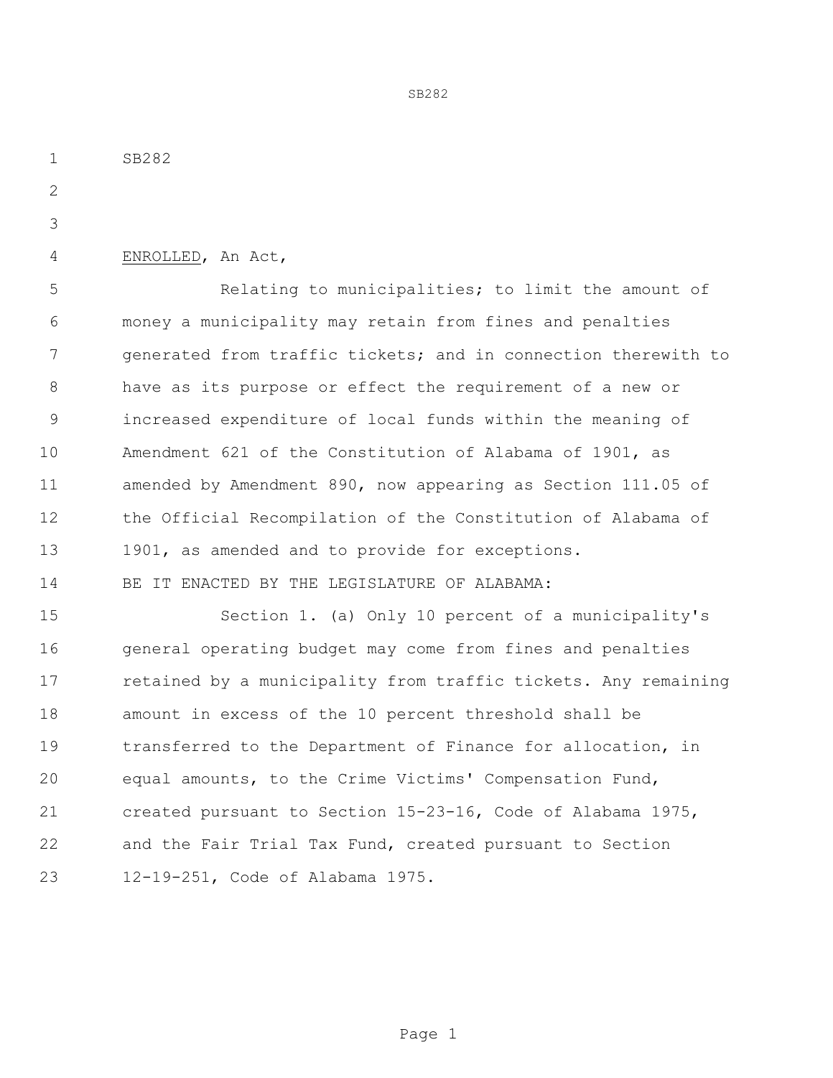ENROLLED, An Act, Relating to municipalities; to limit the amount of money a municipality may retain from fines and penalties generated from traffic tickets; and in connection therewith to have as its purpose or effect the requirement of a new or increased expenditure of local funds within the meaning of Amendment 621 of the Constitution of Alabama of 1901, as amended by Amendment 890, now appearing as Section 111.05 of the Official Recompilation of the Constitution of Alabama of 13 1901, as amended and to provide for exceptions. BE IT ENACTED BY THE LEGISLATURE OF ALABAMA: Section 1. (a) Only 10 percent of a municipality's

SB282

16 general operating budget may come from fines and penalties 17 retained by a municipality from traffic tickets. Any remaining amount in excess of the 10 percent threshold shall be transferred to the Department of Finance for allocation, in equal amounts, to the Crime Victims' Compensation Fund, created pursuant to Section 15-23-16, Code of Alabama 1975, and the Fair Trial Tax Fund, created pursuant to Section 12-19-251, Code of Alabama 1975.

SB282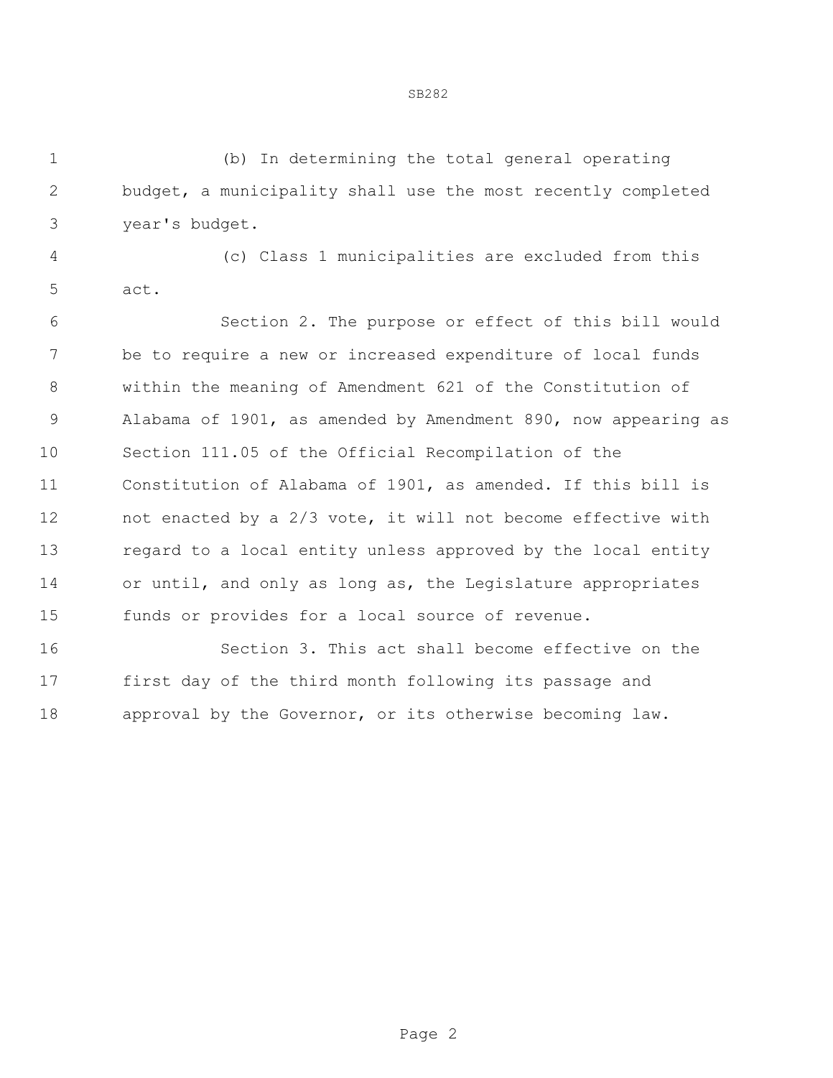(b) In determining the total general operating budget, a municipality shall use the most recently completed year's budget.

 (c) Class 1 municipalities are excluded from this act.

 Section 2. The purpose or effect of this bill would be to require a new or increased expenditure of local funds within the meaning of Amendment 621 of the Constitution of Alabama of 1901, as amended by Amendment 890, now appearing as Section 111.05 of the Official Recompilation of the Constitution of Alabama of 1901, as amended. If this bill is not enacted by a 2/3 vote, it will not become effective with regard to a local entity unless approved by the local entity or until, and only as long as, the Legislature appropriates funds or provides for a local source of revenue.

 Section 3. This act shall become effective on the first day of the third month following its passage and approval by the Governor, or its otherwise becoming law.

## SB282